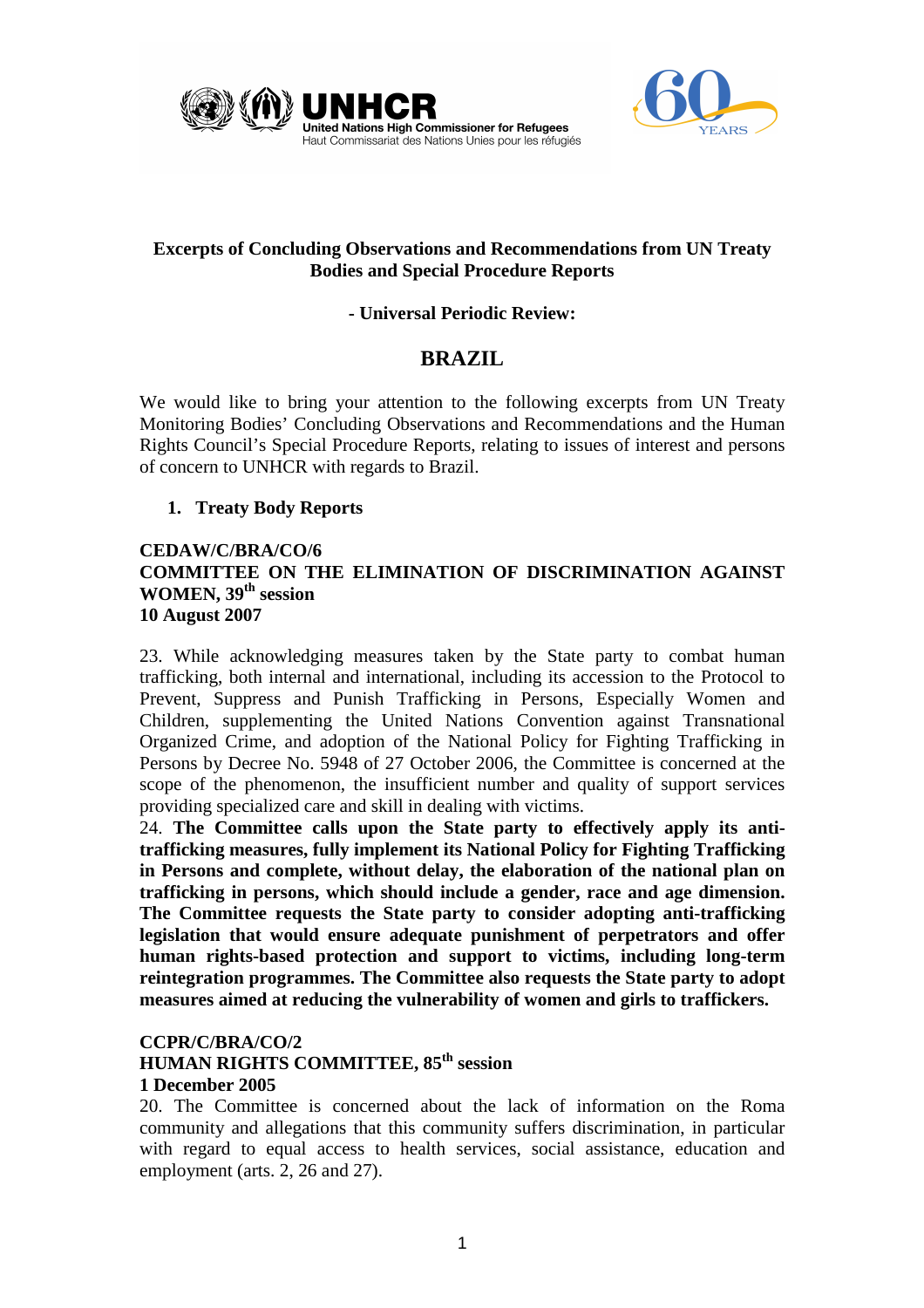



# **Excerpts of Concluding Observations and Recommendations from UN Treaty Bodies and Special Procedure Reports**

# **- Universal Periodic Review:**

# **BRAZIL**

We would like to bring your attention to the following excerpts from UN Treaty Monitoring Bodies' Concluding Observations and Recommendations and the Human Rights Council's Special Procedure Reports, relating to issues of interest and persons of concern to UNHCR with regards to Brazil.

# **1. Treaty Body Reports**

# **CEDAW/C/BRA/CO/6 COMMITTEE ON THE ELIMINATION OF DISCRIMINATION AGAINST**  WOMEN, 39<sup>th</sup> session **10 August 2007**

23. While acknowledging measures taken by the State party to combat human trafficking, both internal and international, including its accession to the Protocol to Prevent, Suppress and Punish Trafficking in Persons, Especially Women and Children, supplementing the United Nations Convention against Transnational Organized Crime, and adoption of the National Policy for Fighting Trafficking in Persons by Decree No. 5948 of 27 October 2006, the Committee is concerned at the scope of the phenomenon, the insufficient number and quality of support services providing specialized care and skill in dealing with victims.

24. **The Committee calls upon the State party to effectively apply its antitrafficking measures, fully implement its National Policy for Fighting Trafficking in Persons and complete, without delay, the elaboration of the national plan on trafficking in persons, which should include a gender, race and age dimension. The Committee requests the State party to consider adopting anti-trafficking legislation that would ensure adequate punishment of perpetrators and offer human rights-based protection and support to victims, including long-term reintegration programmes. The Committee also requests the State party to adopt measures aimed at reducing the vulnerability of women and girls to traffickers.** 

# **CCPR/C/BRA/CO/2**

### **HUMAN RIGHTS COMMITTEE, 85th session 1 December 2005**

20. The Committee is concerned about the lack of information on the Roma community and allegations that this community suffers discrimination, in particular with regard to equal access to health services, social assistance, education and employment (arts. 2, 26 and 27).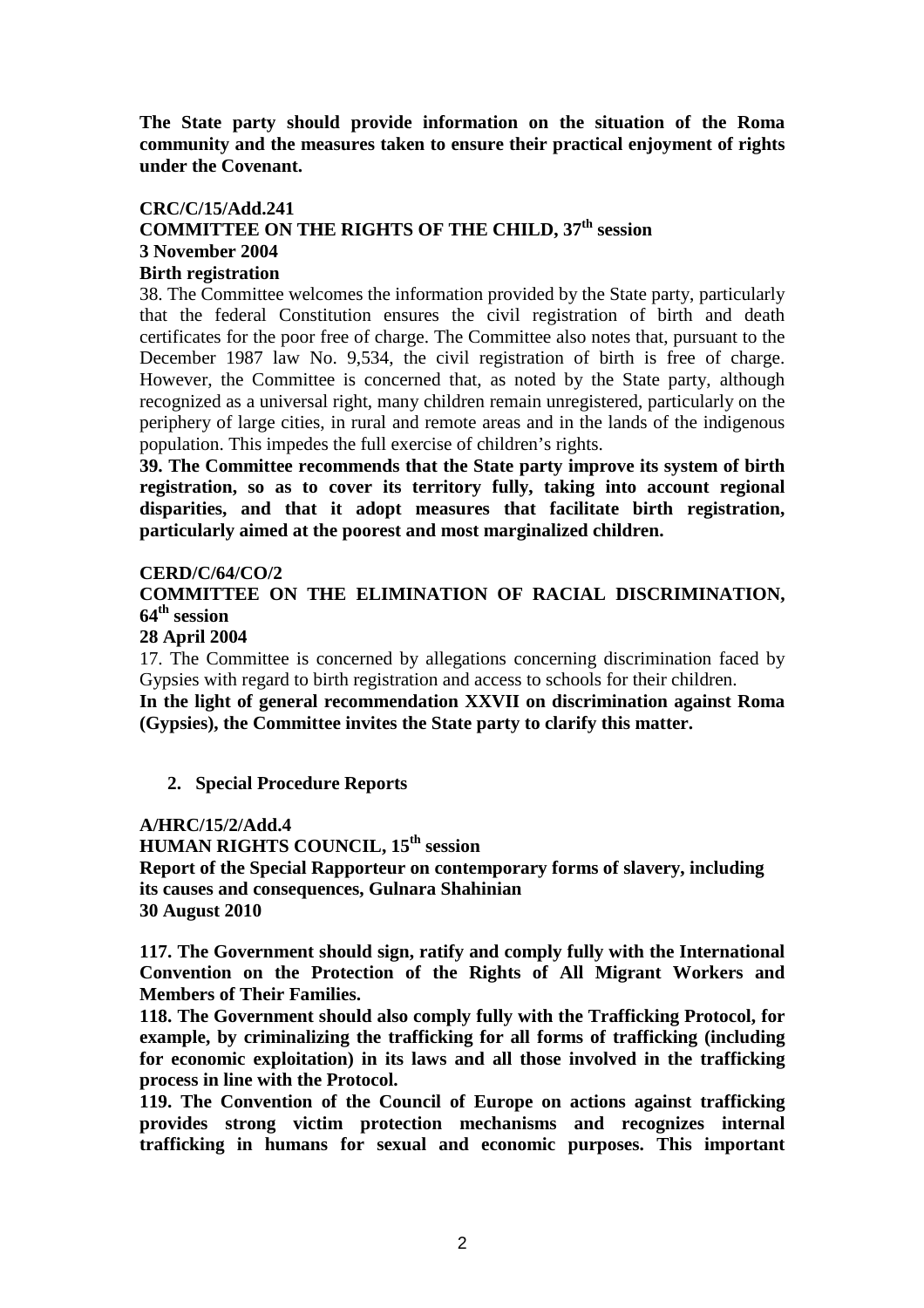**The State party should provide information on the situation of the Roma community and the measures taken to ensure their practical enjoyment of rights under the Covenant.** 

### **CRC/C/15/Add.241 COMMITTEE ON THE RIGHTS OF THE CHILD, 37th session 3 November 2004 Birth registration**

38. The Committee welcomes the information provided by the State party, particularly that the federal Constitution ensures the civil registration of birth and death certificates for the poor free of charge. The Committee also notes that, pursuant to the December 1987 law No. 9,534, the civil registration of birth is free of charge. However, the Committee is concerned that, as noted by the State party, although recognized as a universal right, many children remain unregistered, particularly on the periphery of large cities, in rural and remote areas and in the lands of the indigenous population. This impedes the full exercise of children's rights.

**39. The Committee recommends that the State party improve its system of birth registration, so as to cover its territory fully, taking into account regional disparities, and that it adopt measures that facilitate birth registration, particularly aimed at the poorest and most marginalized children.** 

## **CERD/C/64/CO/2**

**COMMITTEE ON THE ELIMINATION OF RACIAL DISCRIMINATION, 64th session** 

**28 April 2004** 

17. The Committee is concerned by allegations concerning discrimination faced by Gypsies with regard to birth registration and access to schools for their children.

**In the light of general recommendation XXVII on discrimination against Roma (Gypsies), the Committee invites the State party to clarify this matter.** 

# **2. Special Procedure Reports**

# **A/HRC/15/2/Add.4**

**HUMAN RIGHTS COUNCIL, 15th session Report of the Special Rapporteur on contemporary forms of slavery, including its causes and consequences, Gulnara Shahinian 30 August 2010** 

**117. The Government should sign, ratify and comply fully with the International Convention on the Protection of the Rights of All Migrant Workers and Members of Their Families.** 

**118. The Government should also comply fully with the Trafficking Protocol, for example, by criminalizing the trafficking for all forms of trafficking (including for economic exploitation) in its laws and all those involved in the trafficking process in line with the Protocol.** 

**119. The Convention of the Council of Europe on actions against trafficking provides strong victim protection mechanisms and recognizes internal trafficking in humans for sexual and economic purposes. This important**